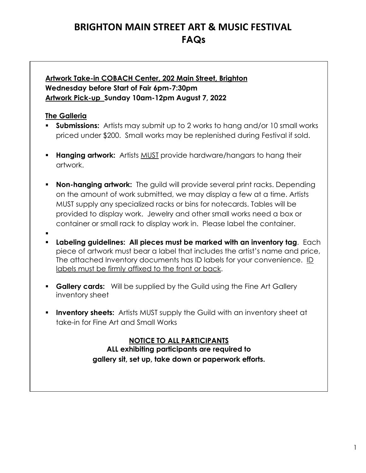## **BRIGHTON MAIN STREET ART & MUSIC FESTIVAL FAQs**

## **Artwork Take-in COBACH Center, 202 Main Street, Brighton Wednesday before Start of Fair 6pm-7:30pm Artwork Pick-up Sunday 10am-12pm August 7, 2022**

## **The Galleria**

- **Submissions:** Artists may submit up to 2 works to hang and/or 10 small works priced under \$200. Small works may be replenished during Festival if sold.
- **Hanging artwork:** Artists MUST provide hardware/hangars to hang their artwork.
- **Non-hanging artwork:** The guild will provide several print racks. Depending on the amount of work submitted, we may display a few at a time. Artists MUST supply any specialized racks or bins for notecards. Tables will be provided to display work. Jewelry and other small works need a box or container or small rack to display work in. Please label the container.
- . **Labeling guidelines: All pieces must be marked with an inventory tag**. Each piece of artwork must bear a label that includes the artist's name and price, The attached Inventory documents has ID labels for your convenience. ID labels must be firmly affixed to the front or back.
- **Gallery cards:** Will be supplied by the Guild using the Fine Art Gallery inventory sheet
- **Inventory sheets:** Artists MUST supply the Guild with an inventory sheet at take-in for Fine Art and Small Works

**NOTICE TO ALL PARTICIPANTS ALL exhibiting participants are required to gallery sit, set up, take down or paperwork efforts.**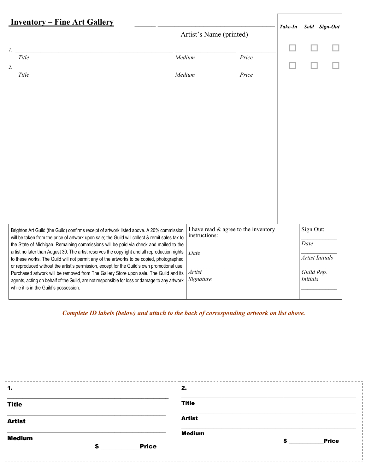| <u><b>Inventory – Fine Art Gallery</b></u>                                                                                                                                                  |                                                       |       |         |                               |               |
|---------------------------------------------------------------------------------------------------------------------------------------------------------------------------------------------|-------------------------------------------------------|-------|---------|-------------------------------|---------------|
|                                                                                                                                                                                             | Artist's Name (printed)                               |       | Take-In |                               | Sold Sign-Out |
| $\mathcal{I}$ .                                                                                                                                                                             |                                                       |       |         |                               |               |
| Title<br>2.                                                                                                                                                                                 | Medium                                                | Price |         |                               |               |
| Title                                                                                                                                                                                       | Medium                                                | Price |         |                               |               |
|                                                                                                                                                                                             |                                                       |       |         |                               |               |
|                                                                                                                                                                                             |                                                       |       |         |                               |               |
|                                                                                                                                                                                             |                                                       |       |         |                               |               |
|                                                                                                                                                                                             |                                                       |       |         |                               |               |
|                                                                                                                                                                                             |                                                       |       |         |                               |               |
|                                                                                                                                                                                             |                                                       |       |         |                               |               |
|                                                                                                                                                                                             |                                                       |       |         |                               |               |
|                                                                                                                                                                                             |                                                       |       |         |                               |               |
|                                                                                                                                                                                             |                                                       |       |         |                               |               |
|                                                                                                                                                                                             |                                                       |       |         |                               |               |
|                                                                                                                                                                                             |                                                       |       |         |                               |               |
| Brighton Art Guild (the Guild) confirms receipt of artwork listed above. A 20% commission<br>will be taken from the price of artwork upon sale; the Guild will collect & remit sales tax to | I have read & agree to the inventory<br>instructions: |       |         | Sign Out:                     |               |
| the State of Michigan. Remaining commissions will be paid via check and mailed to the<br>artist no later than August 30. The artist reserves the copyright and all reproduction rights      | Date                                                  |       |         | Date                          |               |
| to these works. The Guild will not permit any of the artworks to be copied, photographed<br>or reproduced without the artist's permission, except for the Guild's own promotional use.      |                                                       |       |         | <b>Artist Initials</b>        |               |
| Purchased artwork will be removed from The Gallery Store upon sale. The Guild and its<br>agents, acting on behalf of the Guild, are not responsible for loss or damage to any artwork       | Artist<br>Signature                                   |       |         | Guild Rep.<br><b>Initials</b> |               |
| while it is in the Guild's possession.                                                                                                                                                      |                                                       |       |         |                               |               |
|                                                                                                                                                                                             |                                                       |       |         |                               |               |

 *Complete ID labels (below) and attach to the back of corresponding artwork on list above.*

| $\cdot$ 1.                  | 2.                           |
|-----------------------------|------------------------------|
| <b>Title</b>                | <b>Title</b>                 |
| <b>Artist</b>               | <b>Artist</b>                |
| Medium<br><b>Price</b><br>e | Medium<br><b>Price</b><br>S. |